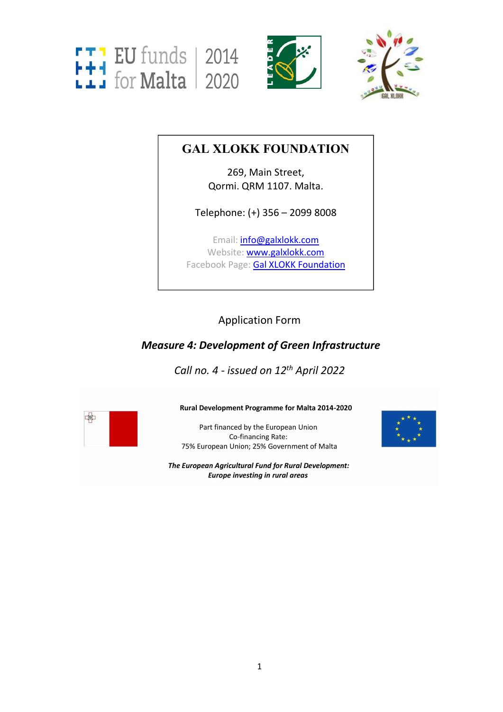





# **GAL XLOKK FOUNDATION**

269, Main Street, Qormi. QRM 1107. Malta.

Telephone: (+) 356 – 2099 8008

Email: *[info@galxlokk.com](mailto:info@galxlokk.com)* Website: [www.galxlokk.com](http://www.galxlokk.com) Facebook Page: Gal XLOKK [Foundation](https://www.facebook.com/galxlokk/)

# Application Form

## *Measure 4: Development of Green Infrastructure*

*Call no. 4 - issued on 12 th April 2022*



Rural Development Programme for Malta 2014-2020

Part financed by the European Union Co-financing Rate: 75% European Union; 25% Government of Malta



The European Agricultural Fund for Rural Development: **Europe investing in rural areas**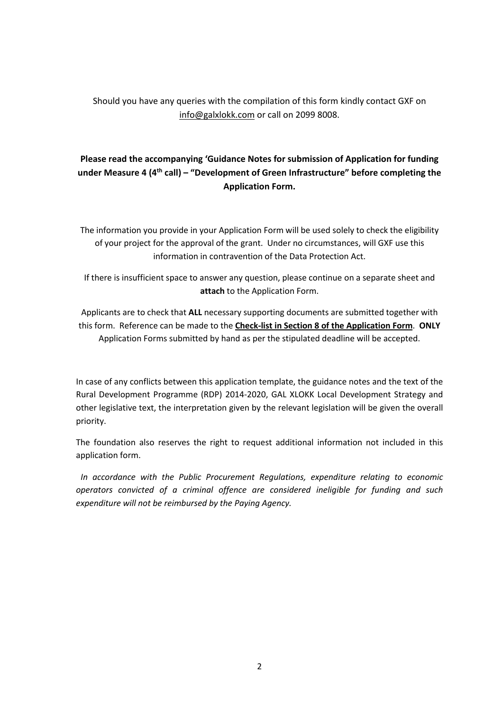Should you have any queries with the compilation of this form kindly contact GXF on info@galxlokk.com or call on 2099 8008.

## **Please read the accompanying 'Guidance Notes for submission of Application for funding under Measure 4 (4 th call) – "Development of Green Infrastructure" before completing the Application Form.**

The information you provide in your Application Form will be used solely to check the eligibility of your project for the approval of the grant. Under no circumstances, will GXF use this information in contravention of the Data Protection Act.

If there is insufficient space to answer any question, please continue on a separate sheet and **attach** to the Application Form.

Applicants are to check that **ALL** necessary supporting documents are submitted together with this form. Reference can be made to the **Check-list in Section 8 of the Application Form**. **ONLY** Application Forms submitted by hand as per the stipulated deadline will be accepted.

In case of any conflicts between this application template, the guidance notes and the text of the Rural Development Programme (RDP) 2014-2020, GAL XLOKK Local Development Strategy and other legislative text, the interpretation given by the relevant legislation will be given the overall priority.

The foundation also reserves the right to request additional information not included in this application form.

*In accordance with the Public Procurement Regulations, expenditure relating to economic operators convicted of a criminal offence are considered ineligible for funding and such expenditure will not be reimbursed by the Paying Agency.*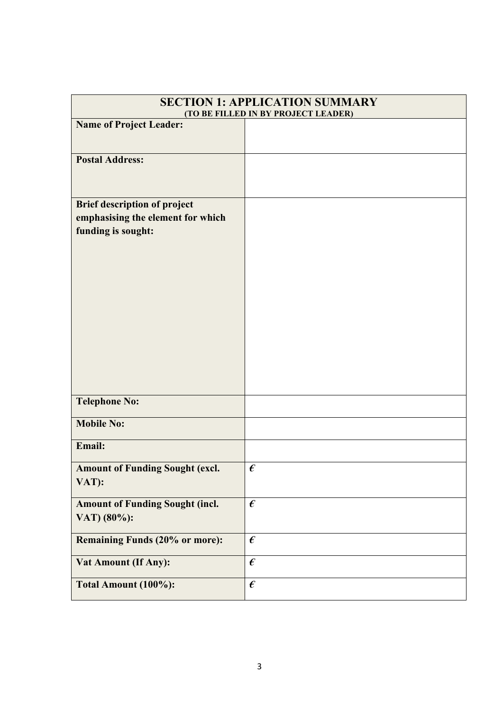|                                                                                                | <b>SECTION 1: APPLICATION SUMMARY</b> |  |
|------------------------------------------------------------------------------------------------|---------------------------------------|--|
| (TO BE FILLED IN BY PROJECT LEADER)                                                            |                                       |  |
| <b>Name of Project Leader:</b>                                                                 |                                       |  |
| <b>Postal Address:</b>                                                                         |                                       |  |
| <b>Brief description of project</b><br>emphasising the element for which<br>funding is sought: |                                       |  |
| <b>Telephone No:</b>                                                                           |                                       |  |
| <b>Mobile No:</b>                                                                              |                                       |  |
| Email:                                                                                         |                                       |  |
| <b>Amount of Funding Sought (excl.</b><br>VAT):                                                | $\boldsymbol{\epsilon}$               |  |
| <b>Amount of Funding Sought (incl.</b><br>VAT) (80%):                                          | $\boldsymbol{\epsilon}$               |  |
| <b>Remaining Funds (20% or more):</b>                                                          | $\pmb{\epsilon}$                      |  |
| <b>Vat Amount (If Any):</b>                                                                    | $\pmb{\epsilon}$                      |  |
| Total Amount (100%):                                                                           | $\pmb{\epsilon}$                      |  |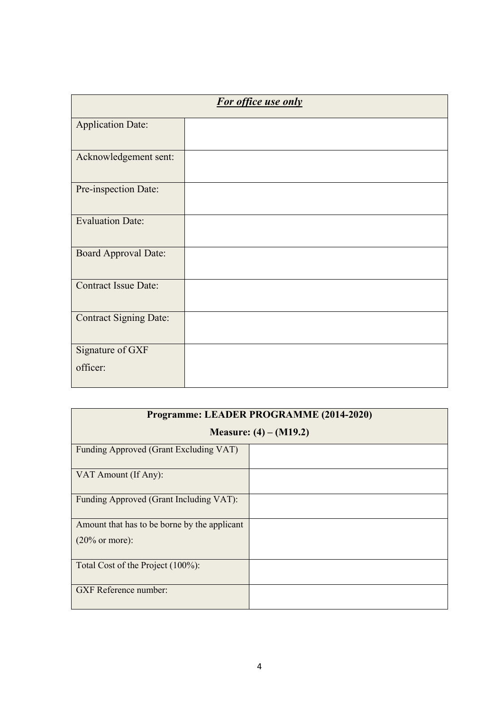| For office use only           |  |
|-------------------------------|--|
| <b>Application Date:</b>      |  |
| Acknowledgement sent:         |  |
| Pre-inspection Date:          |  |
| <b>Evaluation Date:</b>       |  |
| <b>Board Approval Date:</b>   |  |
| <b>Contract Issue Date:</b>   |  |
| <b>Contract Signing Date:</b> |  |
| Signature of GXF              |  |
| officer:                      |  |

| Programme: LEADER PROGRAMME (2014-2020)      |                          |
|----------------------------------------------|--------------------------|
|                                              | Measure: $(4) - (M19.2)$ |
| Funding Approved (Grant Excluding VAT)       |                          |
| VAT Amount (If Any):                         |                          |
| Funding Approved (Grant Including VAT):      |                          |
| Amount that has to be borne by the applicant |                          |
| $(20\% \text{ or more})$ :                   |                          |
| Total Cost of the Project (100%):            |                          |
| <b>GXF</b> Reference number:                 |                          |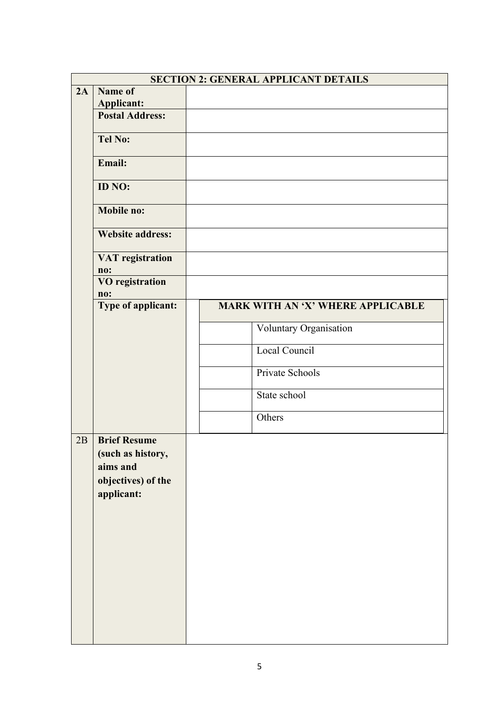|                                                                                          | <b>SECTION 2: GENERAL APPLICANT DETAILS</b>               |
|------------------------------------------------------------------------------------------|-----------------------------------------------------------|
| Name of                                                                                  |                                                           |
|                                                                                          |                                                           |
|                                                                                          |                                                           |
| <b>Tel No:</b>                                                                           |                                                           |
| Email:                                                                                   |                                                           |
| ID NO:                                                                                   |                                                           |
| Mobile no:                                                                               |                                                           |
| <b>Website address:</b>                                                                  |                                                           |
| <b>VAT</b> registration                                                                  |                                                           |
| <b>VO</b> registration                                                                   |                                                           |
| Type of applicant:                                                                       | MARK WITH AN 'X' WHERE APPLICABLE                         |
|                                                                                          |                                                           |
|                                                                                          | Voluntary Organisation                                    |
|                                                                                          | Local Council                                             |
|                                                                                          | Private Schools                                           |
|                                                                                          | State school                                              |
|                                                                                          | Others                                                    |
| <b>Brief Resume</b><br>(such as history,<br>aims and<br>objectives) of the<br>applicant: |                                                           |
|                                                                                          | <b>Applicant:</b><br><b>Postal Address:</b><br>no:<br>no: |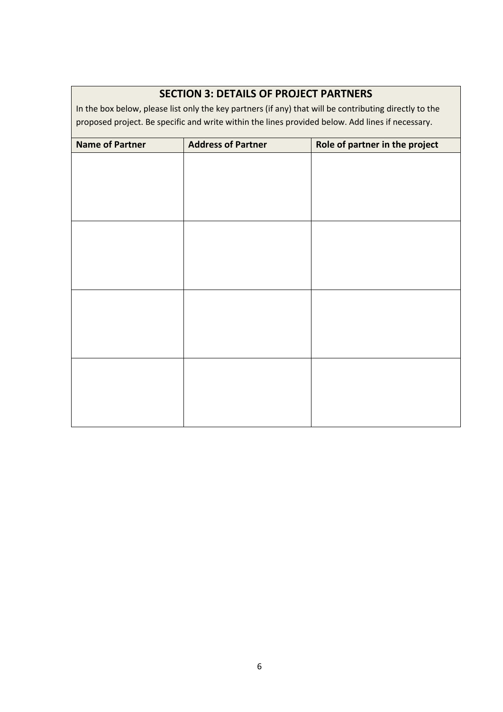## **SECTION 3: DETAILS OF PROJECT PARTNERS**

In the box below, please list only the key partners (if any) that will be contributing directly to the proposed project. Be specific and write within the lines provided below. Add lines if necessary.

| <b>Name of Partner</b> | <b>Address of Partner</b> | Role of partner in the project |
|------------------------|---------------------------|--------------------------------|
|                        |                           |                                |
|                        |                           |                                |
|                        |                           |                                |
|                        |                           |                                |
|                        |                           |                                |
|                        |                           |                                |
|                        |                           |                                |
|                        |                           |                                |
|                        |                           |                                |
|                        |                           |                                |
|                        |                           |                                |
|                        |                           |                                |
|                        |                           |                                |
|                        |                           |                                |
|                        |                           |                                |
|                        |                           |                                |
|                        |                           |                                |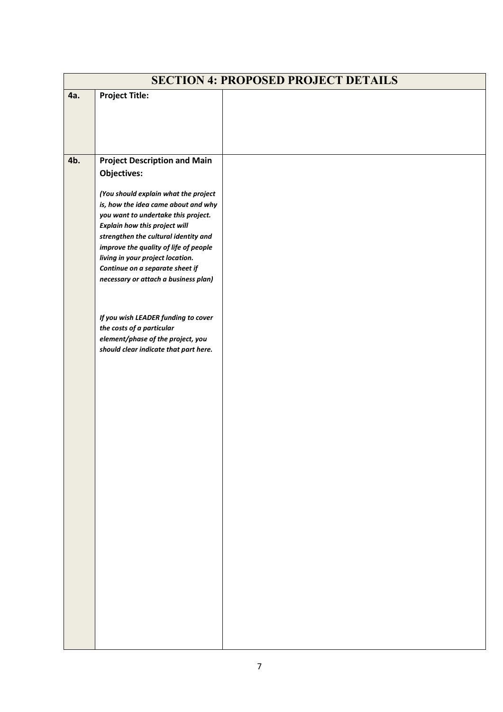| <b>Project Title:</b><br>4a.<br>4b.<br><b>Project Description and Main</b><br><b>Objectives:</b><br>(You should explain what the project<br>is, how the idea came about and why<br>you want to undertake this project.<br>Explain how this project will<br>strengthen the cultural identity and<br>improve the quality of life of people<br>living in your project location.<br>Continue on a separate sheet if<br>necessary or attach a business plan)<br>If you wish LEADER funding to cover<br>the costs of a particular<br>element/phase of the project, you<br>should clear indicate that part here. | <b>SECTION 4: PROPOSED PROJECT DETAILS</b> |  |  |
|-----------------------------------------------------------------------------------------------------------------------------------------------------------------------------------------------------------------------------------------------------------------------------------------------------------------------------------------------------------------------------------------------------------------------------------------------------------------------------------------------------------------------------------------------------------------------------------------------------------|--------------------------------------------|--|--|
|                                                                                                                                                                                                                                                                                                                                                                                                                                                                                                                                                                                                           |                                            |  |  |
|                                                                                                                                                                                                                                                                                                                                                                                                                                                                                                                                                                                                           |                                            |  |  |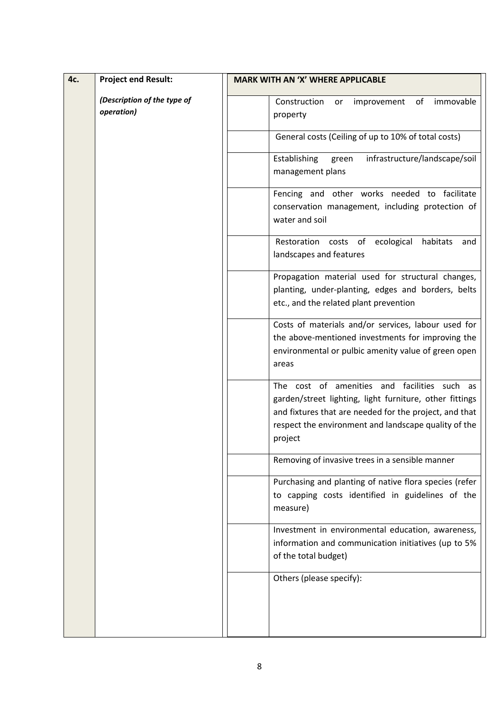| 4c. | <b>Project end Result:</b>                | <b>MARK WITH AN 'X' WHERE APPLICABLE</b>                                                                                                                                                                                             |
|-----|-------------------------------------------|--------------------------------------------------------------------------------------------------------------------------------------------------------------------------------------------------------------------------------------|
|     | (Description of the type of<br>operation) | Construction or<br>improvement of<br>immovable<br>property                                                                                                                                                                           |
|     |                                           | General costs (Ceiling of up to 10% of total costs)                                                                                                                                                                                  |
|     |                                           | Establishing<br>infrastructure/landscape/soil<br>green<br>management plans                                                                                                                                                           |
|     |                                           | Fencing and other works needed to facilitate<br>conservation management, including protection of<br>water and soil                                                                                                                   |
|     |                                           | Restoration costs of ecological<br>habitats and<br>landscapes and features                                                                                                                                                           |
|     |                                           | Propagation material used for structural changes,<br>planting, under-planting, edges and borders, belts<br>etc., and the related plant prevention                                                                                    |
|     |                                           | Costs of materials and/or services, labour used for<br>the above-mentioned investments for improving the<br>environmental or pulbic amenity value of green open<br>areas                                                             |
|     |                                           | The cost of amenities and facilities such as<br>garden/street lighting, light furniture, other fittings<br>and fixtures that are needed for the project, and that<br>respect the environment and landscape quality of the<br>project |
|     |                                           | Removing of invasive trees in a sensible manner                                                                                                                                                                                      |
|     |                                           | Purchasing and planting of native flora species (refer<br>to capping costs identified in guidelines of the<br>measure)                                                                                                               |
|     |                                           | Investment in environmental education, awareness,<br>information and communication initiatives (up to 5%<br>of the total budget)                                                                                                     |
|     |                                           | Others (please specify):                                                                                                                                                                                                             |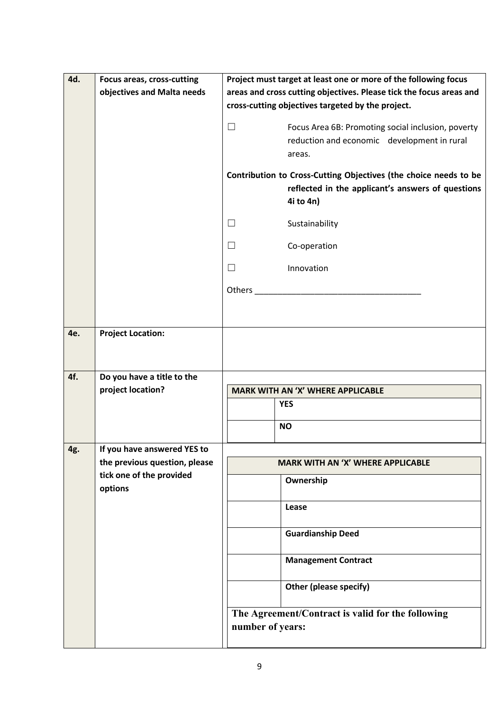| 4d. | Focus areas, cross-cutting          | Project must target at least one or more of the following focus                                                                    |  |
|-----|-------------------------------------|------------------------------------------------------------------------------------------------------------------------------------|--|
|     | objectives and Malta needs          | areas and cross cutting objectives. Please tick the focus areas and                                                                |  |
|     |                                     | cross-cutting objectives targeted by the project.                                                                                  |  |
|     |                                     | $\Box$<br>Focus Area 6B: Promoting social inclusion, poverty<br>reduction and economic development in rural<br>areas.              |  |
|     |                                     | Contribution to Cross-Cutting Objectives (the choice needs to be<br>reflected in the applicant's answers of questions<br>4i to 4n) |  |
|     |                                     | $\Box$<br>Sustainability                                                                                                           |  |
|     |                                     | $\Box$<br>Co-operation                                                                                                             |  |
|     |                                     | $\Box$<br>Innovation                                                                                                               |  |
|     |                                     | Others and the contract of the contract of the contract of the contract of the contract of the contract of the                     |  |
|     |                                     |                                                                                                                                    |  |
| 4e. | <b>Project Location:</b>            |                                                                                                                                    |  |
| 4f. | Do you have a title to the          |                                                                                                                                    |  |
|     | project location?                   | <b>MARK WITH AN 'X' WHERE APPLICABLE</b>                                                                                           |  |
|     |                                     | <b>YES</b>                                                                                                                         |  |
|     |                                     | <b>NO</b>                                                                                                                          |  |
| 4g. | If you have answered YES to         |                                                                                                                                    |  |
|     | the previous question, please       | <b>MARK WITH AN 'X' WHERE APPLICABLE</b>                                                                                           |  |
|     | tick one of the provided<br>options | Ownership                                                                                                                          |  |
|     |                                     | Lease                                                                                                                              |  |
|     |                                     | <b>Guardianship Deed</b>                                                                                                           |  |
|     |                                     | <b>Management Contract</b>                                                                                                         |  |
|     |                                     | Other (please specify)                                                                                                             |  |
|     |                                     | The Agreement/Contract is valid for the following<br>number of years:                                                              |  |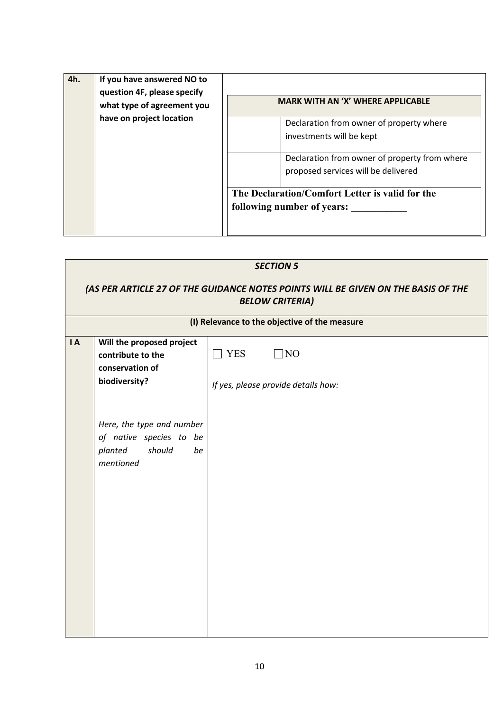| 4h. | If you have answered NO to<br>question 4F, please specify<br>what type of agreement you<br>have on project location | <b>MARK WITH AN 'X' WHERE APPLICABLE</b>                                                                                                                     |
|-----|---------------------------------------------------------------------------------------------------------------------|--------------------------------------------------------------------------------------------------------------------------------------------------------------|
|     |                                                                                                                     | Declaration from owner of property where<br>investments will be kept<br>Declaration from owner of property from where<br>proposed services will be delivered |
|     |                                                                                                                     | The Declaration/Comfort Letter is valid for the<br>following number of years:                                                                                |

| <b>SECTION 5</b><br>(AS PER ARTICLE 27 OF THE GUIDANCE NOTES POINTS WILL BE GIVEN ON THE BASIS OF THE<br><b>BELOW CRITERIA)</b> |                                                                                              |                                               |
|---------------------------------------------------------------------------------------------------------------------------------|----------------------------------------------------------------------------------------------|-----------------------------------------------|
|                                                                                                                                 |                                                                                              | (I) Relevance to the objective of the measure |
| $\overline{A}$                                                                                                                  | Will the proposed project<br>contribute to the<br>conservation of                            | $\Box$ YES<br>$\Box$ NO                       |
|                                                                                                                                 | biodiversity?                                                                                | If yes, please provide details how:           |
|                                                                                                                                 | Here, the type and number<br>of native species to be<br>should<br>planted<br>be<br>mentioned |                                               |
|                                                                                                                                 |                                                                                              |                                               |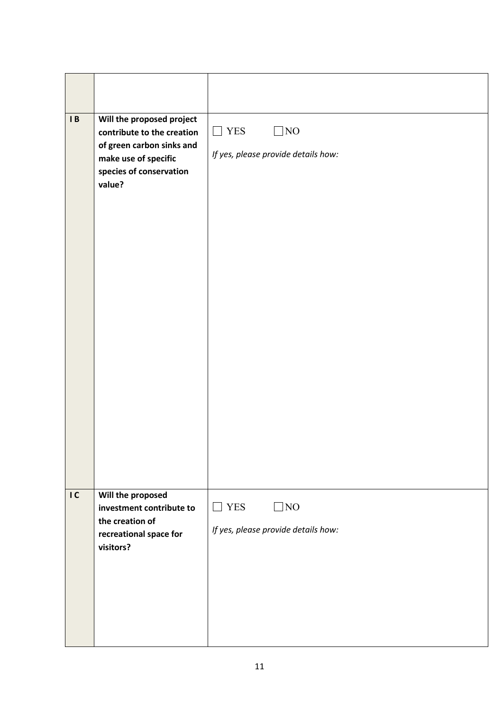| $\mathsf{I}$ B | Will the proposed project<br>contribute to the creation<br>of green carbon sinks and<br>make use of specific<br>species of conservation<br>value? | ]NO<br><b>YES</b><br>$\mathcal{L}$<br>If yes, please provide details how: |
|----------------|---------------------------------------------------------------------------------------------------------------------------------------------------|---------------------------------------------------------------------------|
| IC             | Will the proposed<br>investment contribute to<br>the creation of<br>recreational space for<br>visitors?                                           | $\Box$ NO<br>$\Box$ YES<br>If yes, please provide details how:            |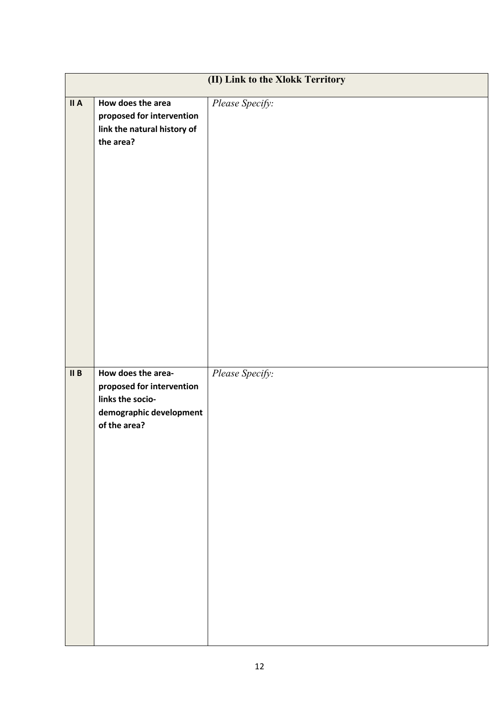|      | (II) Link to the Xlokk Territory                                                                               |                 |  |
|------|----------------------------------------------------------------------------------------------------------------|-----------------|--|
| II A | How does the area<br>proposed for intervention<br>link the natural history of<br>the area?                     | Please Specify: |  |
| II B | How does the area-<br>proposed for intervention<br>links the socio-<br>demographic development<br>of the area? | Please Specify: |  |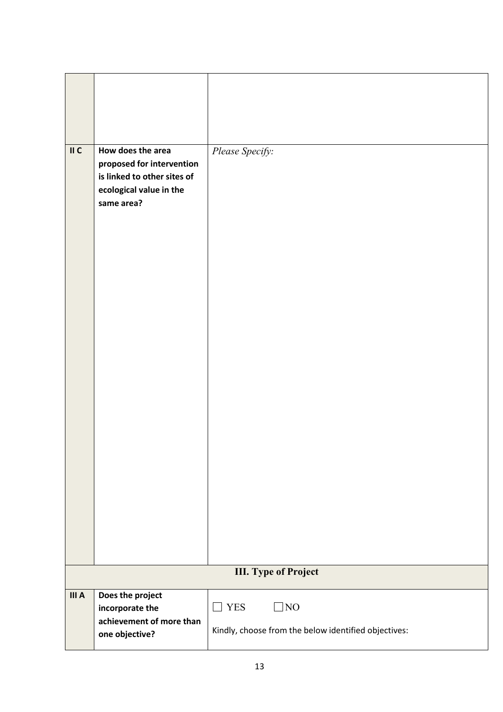| $\mathsf{II}$ C | How does the area<br>proposed for intervention<br>is linked to other sites of<br>ecological value in the<br>same area? | Please Specify:                                                                 |
|-----------------|------------------------------------------------------------------------------------------------------------------------|---------------------------------------------------------------------------------|
|                 |                                                                                                                        | <b>III.</b> Type of Project                                                     |
| III A           | Does the project<br>incorporate the<br>achievement of more than<br>one objective?                                      | $\Box$ YES<br>$\Box$ NO<br>Kindly, choose from the below identified objectives: |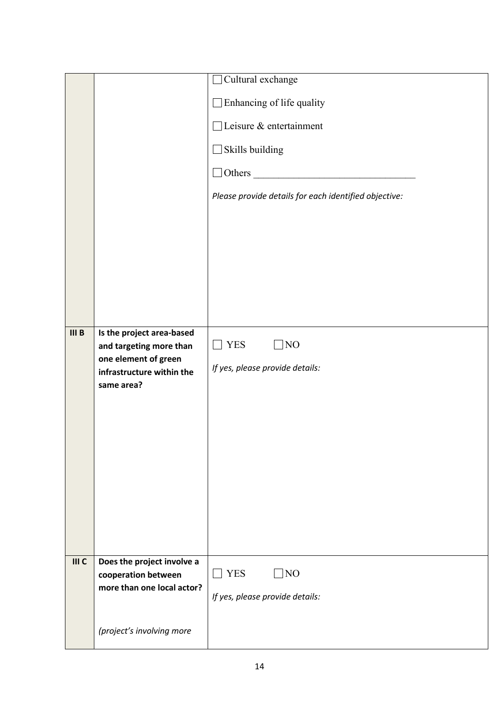|       |                                                      | Cultural exchange                                     |
|-------|------------------------------------------------------|-------------------------------------------------------|
|       |                                                      | Enhancing of life quality                             |
|       |                                                      | $\Box$ Leisure & entertainment                        |
|       |                                                      | Skills building                                       |
|       |                                                      | $\Box$ Others $\Box$                                  |
|       |                                                      | Please provide details for each identified objective: |
|       |                                                      |                                                       |
|       |                                                      |                                                       |
|       |                                                      |                                                       |
|       |                                                      |                                                       |
|       |                                                      |                                                       |
|       |                                                      |                                                       |
| III B | Is the project area-based<br>and targeting more than | <b>YES</b><br>NO                                      |
|       | one element of green                                 |                                                       |
|       |                                                      |                                                       |
|       | infrastructure within the                            | If yes, please provide details:                       |
|       | same area?                                           |                                                       |
|       |                                                      |                                                       |
|       |                                                      |                                                       |
|       |                                                      |                                                       |
|       |                                                      |                                                       |
|       |                                                      |                                                       |
|       |                                                      |                                                       |
|       |                                                      |                                                       |
| III C | Does the project involve a                           |                                                       |
|       | cooperation between<br>more than one local actor?    | <b>YES</b><br>NO<br>L                                 |
|       |                                                      | If yes, please provide details:                       |
|       | (project's involving more                            |                                                       |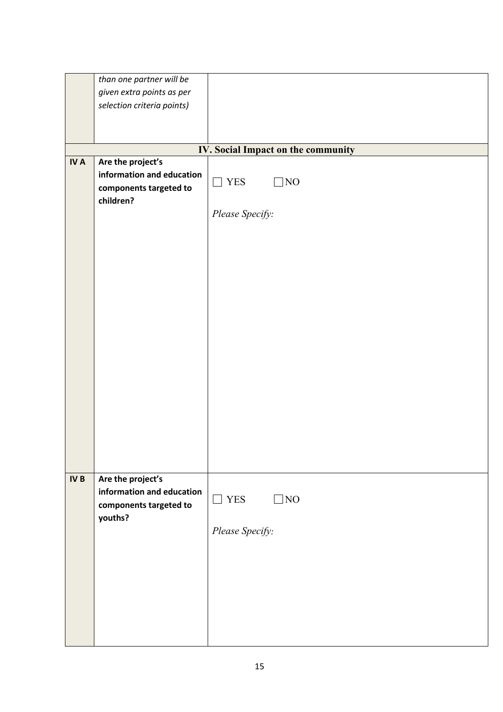|                 | than one partner will be   |                                    |
|-----------------|----------------------------|------------------------------------|
|                 | given extra points as per  |                                    |
|                 | selection criteria points) |                                    |
|                 |                            |                                    |
|                 |                            |                                    |
|                 |                            |                                    |
|                 |                            | IV. Social Impact on the community |
| <b>IVA</b>      | Are the project's          |                                    |
|                 | information and education  |                                    |
|                 | components targeted to     | $\hfill\Box$ YES<br>NO             |
|                 |                            |                                    |
|                 | children?                  |                                    |
|                 |                            | Please Specify:                    |
|                 |                            |                                    |
|                 |                            |                                    |
|                 |                            |                                    |
|                 |                            |                                    |
|                 |                            |                                    |
|                 |                            |                                    |
|                 |                            |                                    |
|                 |                            |                                    |
|                 |                            |                                    |
|                 |                            |                                    |
|                 |                            |                                    |
|                 |                            |                                    |
|                 |                            |                                    |
|                 |                            |                                    |
|                 |                            |                                    |
|                 |                            |                                    |
|                 |                            |                                    |
|                 |                            |                                    |
|                 |                            |                                    |
|                 |                            |                                    |
|                 |                            |                                    |
| IV <sub>B</sub> | Are the project's          |                                    |
|                 | information and education  | <b>YES</b><br>]NO<br>$\Box$        |
|                 | components targeted to     |                                    |
|                 | youths?                    |                                    |
|                 |                            | Please Specify:                    |
|                 |                            |                                    |
|                 |                            |                                    |
|                 |                            |                                    |
|                 |                            |                                    |
|                 |                            |                                    |
|                 |                            |                                    |
|                 |                            |                                    |
|                 |                            |                                    |
|                 |                            |                                    |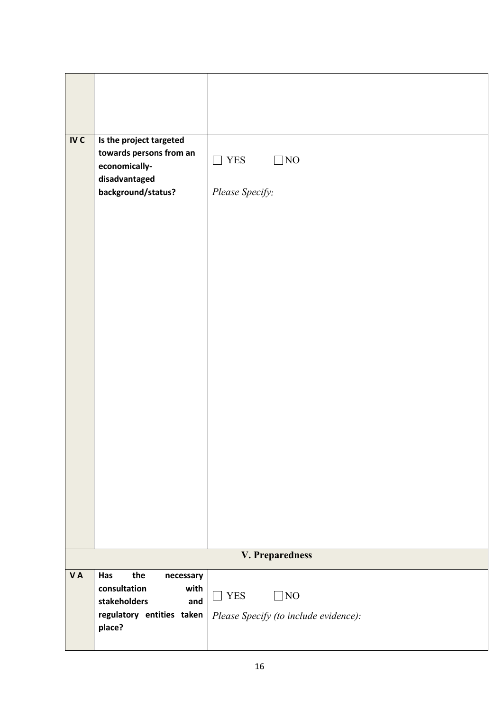| IV <sub>C</sub> | Is the project targeted<br>towards persons from an<br>economically-<br>disadvantaged<br>background/status?    | <b>YES</b><br>$\rm NO$<br>┐<br>Please Specify:                             |
|-----------------|---------------------------------------------------------------------------------------------------------------|----------------------------------------------------------------------------|
|                 |                                                                                                               | V. Preparedness                                                            |
| <b>VA</b>       | Has<br>the<br>necessary<br>consultation<br>with<br>stakeholders<br>and<br>regulatory entities taken<br>place? | <b>YES</b><br>NO]<br>$\mathbf{I}$<br>Please Specify (to include evidence): |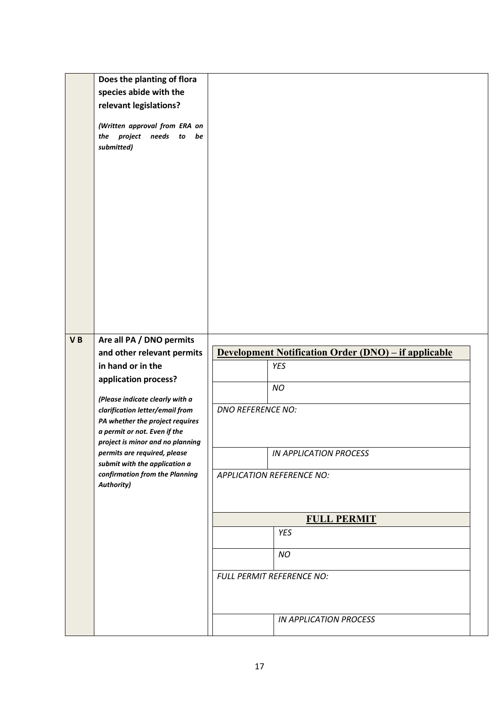| Does the planting of flora<br>species abide with the<br>relevant legislations?<br>(Written approval from ERA on<br>the project needs to<br>be<br>submitted)<br>Are all PA / DNO permits<br>VB<br><b>Development Notification Order (DNO) – if applicable</b><br>and other relevant permits<br>in hand or in the<br><b>YES</b><br>application process?<br>NO<br>(Please indicate clearly with a<br><b>DNO REFERENCE NO:</b><br>clarification letter/email from<br>PA whether the project requires<br>a permit or not. Even if the<br>project is minor and no planning<br>permits are required, please<br>IN APPLICATION PROCESS<br>submit with the application a<br>confirmation from the Planning<br><b>APPLICATION REFERENCE NO:</b><br><b>Authority)</b><br><b>FULL PERMIT</b><br>YES<br><b>NO</b><br>FULL PERMIT REFERENCE NO:<br><b>IN APPLICATION PROCESS</b> |  |  |  |  |  |  |  |  |
|--------------------------------------------------------------------------------------------------------------------------------------------------------------------------------------------------------------------------------------------------------------------------------------------------------------------------------------------------------------------------------------------------------------------------------------------------------------------------------------------------------------------------------------------------------------------------------------------------------------------------------------------------------------------------------------------------------------------------------------------------------------------------------------------------------------------------------------------------------------------|--|--|--|--|--|--|--|--|
|                                                                                                                                                                                                                                                                                                                                                                                                                                                                                                                                                                                                                                                                                                                                                                                                                                                                    |  |  |  |  |  |  |  |  |
|                                                                                                                                                                                                                                                                                                                                                                                                                                                                                                                                                                                                                                                                                                                                                                                                                                                                    |  |  |  |  |  |  |  |  |
|                                                                                                                                                                                                                                                                                                                                                                                                                                                                                                                                                                                                                                                                                                                                                                                                                                                                    |  |  |  |  |  |  |  |  |
|                                                                                                                                                                                                                                                                                                                                                                                                                                                                                                                                                                                                                                                                                                                                                                                                                                                                    |  |  |  |  |  |  |  |  |
|                                                                                                                                                                                                                                                                                                                                                                                                                                                                                                                                                                                                                                                                                                                                                                                                                                                                    |  |  |  |  |  |  |  |  |
|                                                                                                                                                                                                                                                                                                                                                                                                                                                                                                                                                                                                                                                                                                                                                                                                                                                                    |  |  |  |  |  |  |  |  |
|                                                                                                                                                                                                                                                                                                                                                                                                                                                                                                                                                                                                                                                                                                                                                                                                                                                                    |  |  |  |  |  |  |  |  |
|                                                                                                                                                                                                                                                                                                                                                                                                                                                                                                                                                                                                                                                                                                                                                                                                                                                                    |  |  |  |  |  |  |  |  |
|                                                                                                                                                                                                                                                                                                                                                                                                                                                                                                                                                                                                                                                                                                                                                                                                                                                                    |  |  |  |  |  |  |  |  |
|                                                                                                                                                                                                                                                                                                                                                                                                                                                                                                                                                                                                                                                                                                                                                                                                                                                                    |  |  |  |  |  |  |  |  |
|                                                                                                                                                                                                                                                                                                                                                                                                                                                                                                                                                                                                                                                                                                                                                                                                                                                                    |  |  |  |  |  |  |  |  |
|                                                                                                                                                                                                                                                                                                                                                                                                                                                                                                                                                                                                                                                                                                                                                                                                                                                                    |  |  |  |  |  |  |  |  |
|                                                                                                                                                                                                                                                                                                                                                                                                                                                                                                                                                                                                                                                                                                                                                                                                                                                                    |  |  |  |  |  |  |  |  |
|                                                                                                                                                                                                                                                                                                                                                                                                                                                                                                                                                                                                                                                                                                                                                                                                                                                                    |  |  |  |  |  |  |  |  |
|                                                                                                                                                                                                                                                                                                                                                                                                                                                                                                                                                                                                                                                                                                                                                                                                                                                                    |  |  |  |  |  |  |  |  |
|                                                                                                                                                                                                                                                                                                                                                                                                                                                                                                                                                                                                                                                                                                                                                                                                                                                                    |  |  |  |  |  |  |  |  |
|                                                                                                                                                                                                                                                                                                                                                                                                                                                                                                                                                                                                                                                                                                                                                                                                                                                                    |  |  |  |  |  |  |  |  |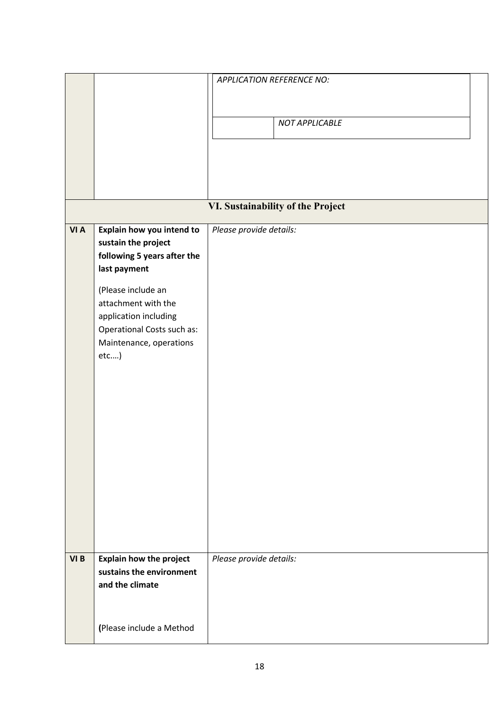|      |                                | <b>APPLICATION REFERENCE NO:</b>  |
|------|--------------------------------|-----------------------------------|
|      |                                |                                   |
|      |                                |                                   |
|      |                                | NOT APPLICABLE                    |
|      |                                |                                   |
|      |                                |                                   |
|      |                                |                                   |
|      |                                |                                   |
|      |                                |                                   |
|      |                                | VI. Sustainability of the Project |
| VI A | Explain how you intend to      | Please provide details:           |
|      | sustain the project            |                                   |
|      | following 5 years after the    |                                   |
|      | last payment                   |                                   |
|      | (Please include an             |                                   |
|      | attachment with the            |                                   |
|      | application including          |                                   |
|      | Operational Costs such as:     |                                   |
|      | Maintenance, operations        |                                   |
|      | $etc$ )                        |                                   |
|      |                                |                                   |
|      |                                |                                   |
|      |                                |                                   |
|      |                                |                                   |
|      |                                |                                   |
|      |                                |                                   |
|      |                                |                                   |
|      |                                |                                   |
|      |                                |                                   |
|      |                                |                                   |
|      |                                |                                   |
|      |                                |                                   |
| VI B | <b>Explain how the project</b> | Please provide details:           |
|      | sustains the environment       |                                   |
|      | and the climate                |                                   |
|      |                                |                                   |
|      |                                |                                   |
|      | (Please include a Method       |                                   |
|      |                                |                                   |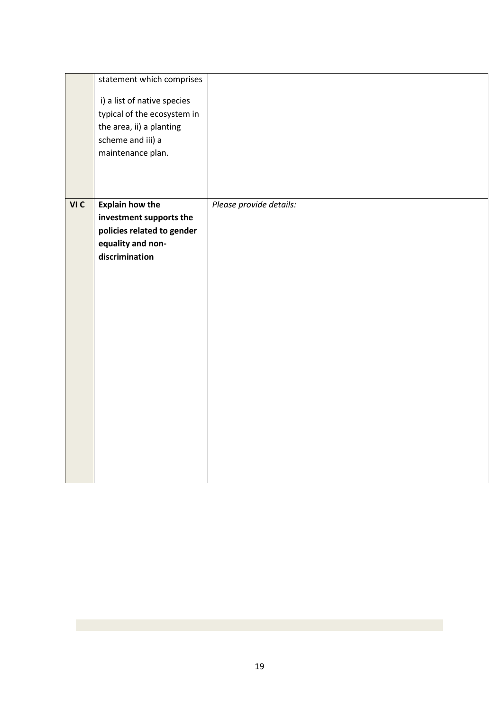|      | statement which comprises<br>i) a list of native species<br>typical of the ecosystem in<br>the area, ii) a planting<br>scheme and iii) a<br>maintenance plan. |                         |
|------|---------------------------------------------------------------------------------------------------------------------------------------------------------------|-------------------------|
| VI C | <b>Explain how the</b><br>investment supports the<br>policies related to gender<br>equality and non-<br>discrimination                                        | Please provide details: |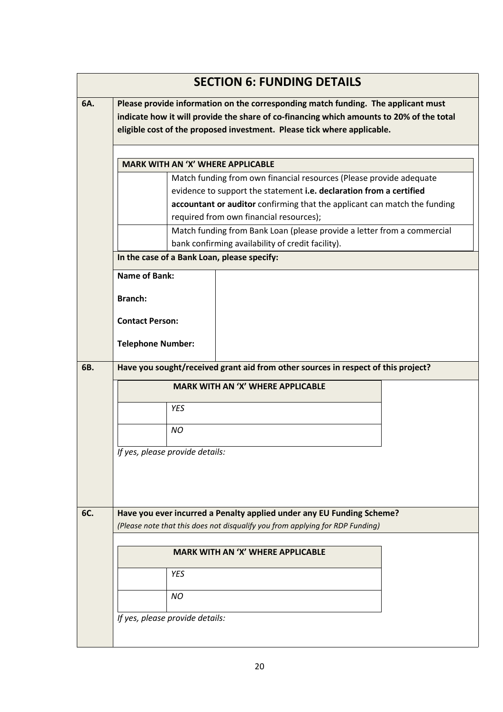|     | <b>SECTION 6: FUNDING DETAILS</b>                                                                                            |  |  |  |  |  |  |
|-----|------------------------------------------------------------------------------------------------------------------------------|--|--|--|--|--|--|
| 6A. | Please provide information on the corresponding match funding. The applicant must                                            |  |  |  |  |  |  |
|     | indicate how it will provide the share of co-financing which amounts to 20% of the total                                     |  |  |  |  |  |  |
|     | eligible cost of the proposed investment. Please tick where applicable.                                                      |  |  |  |  |  |  |
|     | <b>MARK WITH AN 'X' WHERE APPLICABLE</b>                                                                                     |  |  |  |  |  |  |
|     | Match funding from own financial resources (Please provide adequate                                                          |  |  |  |  |  |  |
|     | evidence to support the statement i.e. declaration from a certified                                                          |  |  |  |  |  |  |
|     | accountant or auditor confirming that the applicant can match the funding                                                    |  |  |  |  |  |  |
|     | required from own financial resources);                                                                                      |  |  |  |  |  |  |
|     | Match funding from Bank Loan (please provide a letter from a commercial<br>bank confirming availability of credit facility). |  |  |  |  |  |  |
|     | In the case of a Bank Loan, please specify:                                                                                  |  |  |  |  |  |  |
|     |                                                                                                                              |  |  |  |  |  |  |
|     | <b>Name of Bank:</b>                                                                                                         |  |  |  |  |  |  |
|     | <b>Branch:</b>                                                                                                               |  |  |  |  |  |  |
|     |                                                                                                                              |  |  |  |  |  |  |
|     | <b>Contact Person:</b>                                                                                                       |  |  |  |  |  |  |
|     | <b>Telephone Number:</b>                                                                                                     |  |  |  |  |  |  |
|     | Have you sought/received grant aid from other sources in respect of this project?                                            |  |  |  |  |  |  |
|     | <b>MARK WITH AN 'X' WHERE APPLICABLE</b>                                                                                     |  |  |  |  |  |  |
|     | <b>YES</b>                                                                                                                   |  |  |  |  |  |  |
|     | <b>NO</b>                                                                                                                    |  |  |  |  |  |  |
|     |                                                                                                                              |  |  |  |  |  |  |
|     | If yes, please provide details:                                                                                              |  |  |  |  |  |  |
|     |                                                                                                                              |  |  |  |  |  |  |
|     |                                                                                                                              |  |  |  |  |  |  |
|     | Have you ever incurred a Penalty applied under any EU Funding Scheme?                                                        |  |  |  |  |  |  |
| 6C. | (Please note that this does not disqualify you from applying for RDP Funding)                                                |  |  |  |  |  |  |
|     |                                                                                                                              |  |  |  |  |  |  |
|     | <b>MARK WITH AN 'X' WHERE APPLICABLE</b>                                                                                     |  |  |  |  |  |  |
|     | <b>YES</b>                                                                                                                   |  |  |  |  |  |  |
|     | <b>NO</b>                                                                                                                    |  |  |  |  |  |  |
|     |                                                                                                                              |  |  |  |  |  |  |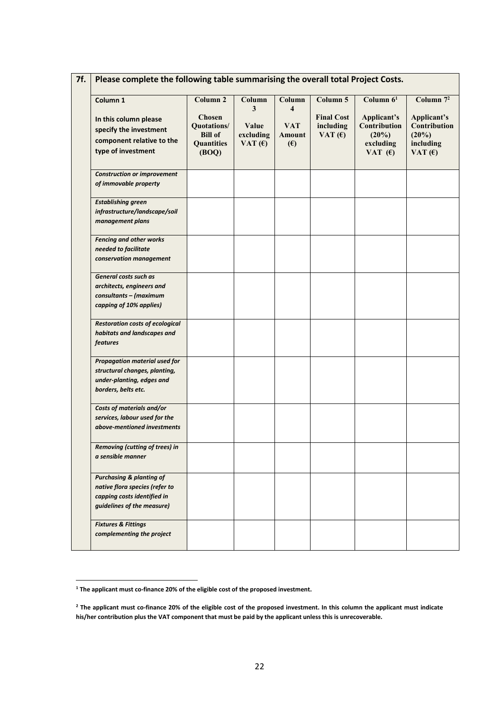| Column 1                                                                                                                           | Column <sub>2</sub><br><b>Chosen</b>                        | Column<br>3                     | Column<br>$\overline{\bf{4}}$      | Column 5<br><b>Final Cost</b> | Column $61$                                                    | Column $7^2$                                                      |
|------------------------------------------------------------------------------------------------------------------------------------|-------------------------------------------------------------|---------------------------------|------------------------------------|-------------------------------|----------------------------------------------------------------|-------------------------------------------------------------------|
| In this column please<br>specify the investment<br>component relative to the<br>type of investment                                 | Quotations/<br><b>Bill of</b><br><b>Quantities</b><br>(BOQ) | Value<br>excluding<br>VAT $(6)$ | <b>VAT</b><br>Amount<br>$\epsilon$ | including<br>VAT $(f)$        | Applicant's<br>Contribution<br>(20%)<br>excluding<br>VAT $(6)$ | Applicant's<br>Contribution<br>$(20\%)$<br>including<br>VAT $(f)$ |
| <b>Construction or improvement</b><br>of immovable property                                                                        |                                                             |                                 |                                    |                               |                                                                |                                                                   |
| <b>Establishing green</b><br>infrastructure/landscape/soil<br>management plans                                                     |                                                             |                                 |                                    |                               |                                                                |                                                                   |
| <b>Fencing and other works</b><br>needed to facilitate<br>conservation management                                                  |                                                             |                                 |                                    |                               |                                                                |                                                                   |
| General costs such as<br>architects, engineers and<br>consultants - (maximum<br>capping of 10% applies)                            |                                                             |                                 |                                    |                               |                                                                |                                                                   |
| <b>Restoration costs of ecological</b><br>habitats and landscapes and<br>features                                                  |                                                             |                                 |                                    |                               |                                                                |                                                                   |
| <b>Propagation material used for</b><br>structural changes, planting,<br>under-planting, edges and<br>borders, belts etc.          |                                                             |                                 |                                    |                               |                                                                |                                                                   |
| Costs of materials and/or<br>services, labour used for the<br>above-mentioned investments                                          |                                                             |                                 |                                    |                               |                                                                |                                                                   |
| Removing (cutting of trees) in<br>a sensible manner                                                                                |                                                             |                                 |                                    |                               |                                                                |                                                                   |
| <b>Purchasing &amp; planting of</b><br>native flora species (refer to<br>capping costs identified in<br>guidelines of the measure) |                                                             |                                 |                                    |                               |                                                                |                                                                   |
| <b>Fixtures &amp; Fittings</b><br>complementing the project                                                                        |                                                             |                                 |                                    |                               |                                                                |                                                                   |

<span id="page-21-0"></span>**<sup>1</sup> The applicant must co-finance 20% of the eligible cost of the proposed investment.**

<span id="page-21-1"></span><sup>&</sup>lt;sup>2</sup> The applicant must co-finance 20% of the eligible cost of the proposed investment. In this column the applicant must indicate **his/her contribution plus the VAT component that must be paid bythe applicant unless this is unrecoverable.**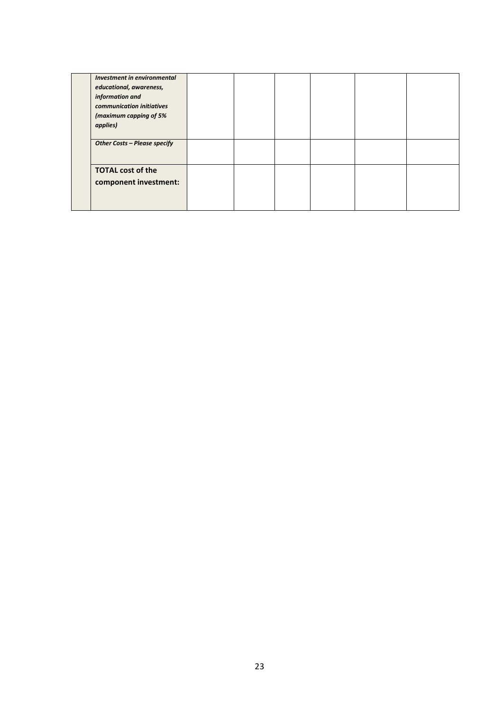| Investment in environmental  |  |  |  |
|------------------------------|--|--|--|
| educational, awareness,      |  |  |  |
| information and              |  |  |  |
| communication initiatives    |  |  |  |
| (maximum capping of 5%       |  |  |  |
| applies)                     |  |  |  |
| Other Costs - Please specify |  |  |  |
| <b>TOTAL cost of the</b>     |  |  |  |
| component investment:        |  |  |  |
|                              |  |  |  |
|                              |  |  |  |
|                              |  |  |  |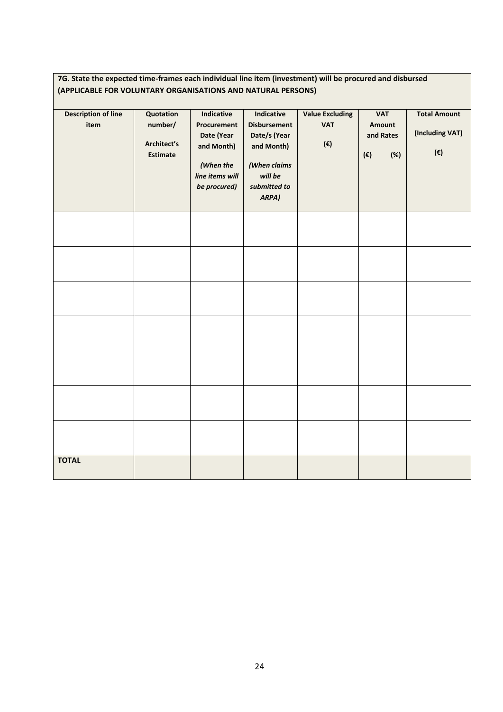#### **7G. State the expected time-frames each individual line item (investment) will be procured and disbursed (APPLICABLE FOR VOLUNTARY ORGANISATIONS AND NATURAL PERSONS)**

| <b>Description of line</b><br>item | Quotation<br>number/<br>Architect's<br><b>Estimate</b> | Indicative<br>Procurement<br>Date (Year<br>and Month)<br>(When the<br>line items will<br>be procured) | Indicative<br><b>Disbursement</b><br>Date/s (Year<br>and Month)<br>(When claims<br>will be<br>submitted to<br>ARPA) | <b>Value Excluding</b><br><b>VAT</b><br>$(\boldsymbol{\varepsilon})$ | <b>VAT</b><br>Amount<br>and Rates<br>$(\boldsymbol{\epsilon})$<br>(%) | <b>Total Amount</b><br>(Including VAT)<br>$(\boldsymbol{\epsilon})$ |
|------------------------------------|--------------------------------------------------------|-------------------------------------------------------------------------------------------------------|---------------------------------------------------------------------------------------------------------------------|----------------------------------------------------------------------|-----------------------------------------------------------------------|---------------------------------------------------------------------|
|                                    |                                                        |                                                                                                       |                                                                                                                     |                                                                      |                                                                       |                                                                     |
|                                    |                                                        |                                                                                                       |                                                                                                                     |                                                                      |                                                                       |                                                                     |
|                                    |                                                        |                                                                                                       |                                                                                                                     |                                                                      |                                                                       |                                                                     |
|                                    |                                                        |                                                                                                       |                                                                                                                     |                                                                      |                                                                       |                                                                     |
|                                    |                                                        |                                                                                                       |                                                                                                                     |                                                                      |                                                                       |                                                                     |
|                                    |                                                        |                                                                                                       |                                                                                                                     |                                                                      |                                                                       |                                                                     |
|                                    |                                                        |                                                                                                       |                                                                                                                     |                                                                      |                                                                       |                                                                     |
| <b>TOTAL</b>                       |                                                        |                                                                                                       |                                                                                                                     |                                                                      |                                                                       |                                                                     |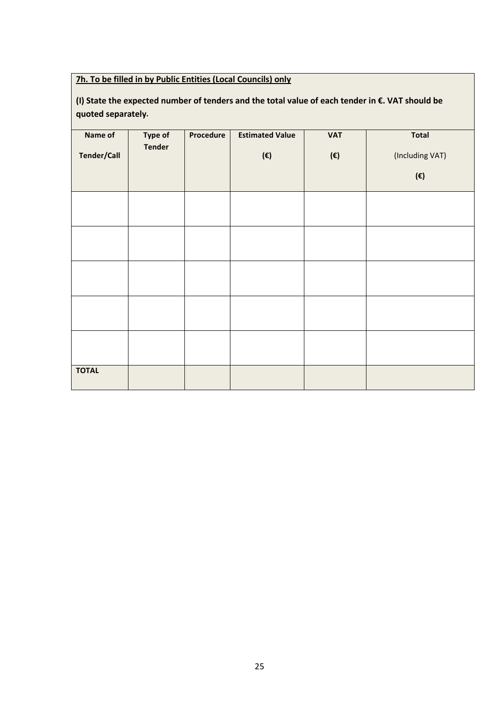#### **7h. To be filled in by Public Entities (Local Councils) only**

### **(I) State the expected numberof tenders and the total value of each tender in €. VAT should be quoted separately.**

| Name of<br><b>Tender/Call</b> | <b>Type of</b><br><b>Tender</b> | Procedure | <b>Estimated Value</b><br>(€) | <b>VAT</b><br>$(\boldsymbol{\epsilon})$ | <b>Total</b><br>(Including VAT)<br>$(\boldsymbol{\epsilon})$ |
|-------------------------------|---------------------------------|-----------|-------------------------------|-----------------------------------------|--------------------------------------------------------------|
|                               |                                 |           |                               |                                         |                                                              |
|                               |                                 |           |                               |                                         |                                                              |
|                               |                                 |           |                               |                                         |                                                              |
| <b>TOTAL</b>                  |                                 |           |                               |                                         |                                                              |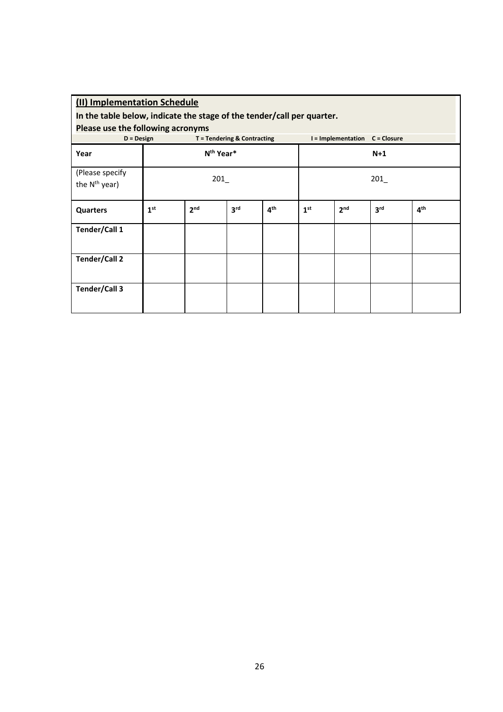| (II) Implementation Schedule<br>In the table below, indicate the stage of the tender/call per quarter.<br>Please use the following acronyms |                 |                       |                             |                 |                 |                                |                 |                 |  |
|---------------------------------------------------------------------------------------------------------------------------------------------|-----------------|-----------------------|-----------------------------|-----------------|-----------------|--------------------------------|-----------------|-----------------|--|
| $D = Design$                                                                                                                                |                 |                       | T = Tendering & Contracting |                 |                 | I = Implementation C = Closure |                 |                 |  |
| Year                                                                                                                                        |                 | N <sup>th</sup> Year* |                             |                 | $N+1$           |                                |                 |                 |  |
| (Please specify<br>the N <sup>th</sup> year)                                                                                                | 201             |                       |                             |                 | 201             |                                |                 |                 |  |
| <b>Quarters</b>                                                                                                                             | 1 <sup>st</sup> | 2 <sub>nd</sub>       | 3 <sup>rd</sup>             | 4 <sup>th</sup> | 1 <sup>st</sup> | 2 <sub>nd</sub>                | 3 <sup>rd</sup> | 4 <sup>th</sup> |  |
| Tender/Call 1                                                                                                                               |                 |                       |                             |                 |                 |                                |                 |                 |  |
| <b>Tender/Call 2</b>                                                                                                                        |                 |                       |                             |                 |                 |                                |                 |                 |  |
| Tender/Call 3                                                                                                                               |                 |                       |                             |                 |                 |                                |                 |                 |  |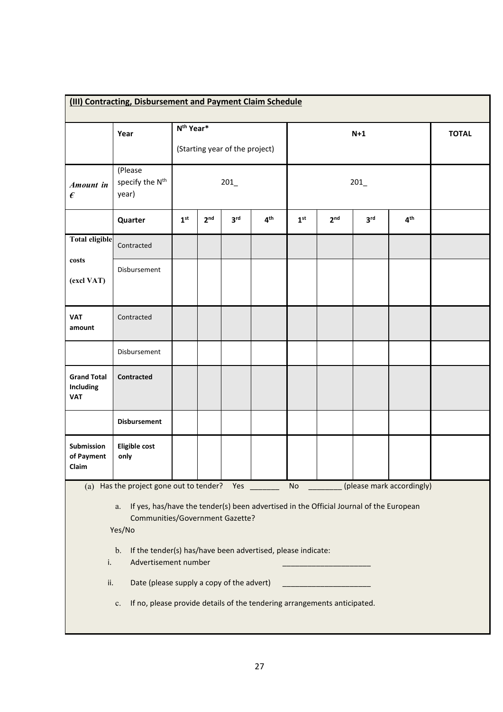| (III) Contracting, Disbursement and Payment Claim Schedule                                                                                                                                                                                                                                                                           |                                                 |                 |                                                         |                 |                 |                 |                 |                 |                 |              |
|--------------------------------------------------------------------------------------------------------------------------------------------------------------------------------------------------------------------------------------------------------------------------------------------------------------------------------------|-------------------------------------------------|-----------------|---------------------------------------------------------|-----------------|-----------------|-----------------|-----------------|-----------------|-----------------|--------------|
|                                                                                                                                                                                                                                                                                                                                      | Year                                            |                 | N <sup>th</sup> Year*<br>(Starting year of the project) |                 |                 | $N+1$           |                 |                 |                 | <b>TOTAL</b> |
| Amount in<br>€                                                                                                                                                                                                                                                                                                                       | (Please<br>specify the N <sup>th</sup><br>year) | 201             |                                                         |                 |                 | 201             |                 |                 |                 |              |
|                                                                                                                                                                                                                                                                                                                                      | Quarter                                         | 1 <sup>st</sup> | 2 <sup>nd</sup>                                         | 3 <sup>rd</sup> | 4 <sup>th</sup> | 1 <sup>st</sup> | 2 <sub>nd</sub> | 3 <sup>rd</sup> | 4 <sup>th</sup> |              |
| <b>Total eligible</b>                                                                                                                                                                                                                                                                                                                | Contracted                                      |                 |                                                         |                 |                 |                 |                 |                 |                 |              |
| costs<br>(excl VAT)                                                                                                                                                                                                                                                                                                                  | Disbursement                                    |                 |                                                         |                 |                 |                 |                 |                 |                 |              |
| <b>VAT</b><br>amount                                                                                                                                                                                                                                                                                                                 | Contracted                                      |                 |                                                         |                 |                 |                 |                 |                 |                 |              |
|                                                                                                                                                                                                                                                                                                                                      | Disbursement                                    |                 |                                                         |                 |                 |                 |                 |                 |                 |              |
| <b>Grand Total</b><br>Including<br><b>VAT</b>                                                                                                                                                                                                                                                                                        | <b>Contracted</b>                               |                 |                                                         |                 |                 |                 |                 |                 |                 |              |
|                                                                                                                                                                                                                                                                                                                                      | <b>Disbursement</b>                             |                 |                                                         |                 |                 |                 |                 |                 |                 |              |
| Submission<br>of Payment<br>Claim                                                                                                                                                                                                                                                                                                    | <b>Eligible cost</b><br>only                    |                 |                                                         |                 |                 |                 |                 |                 |                 |              |
| (a) Has the project gone out to tender? Yes<br>No<br>(please mark accordingly)<br>If yes, has/have the tender(s) been advertised in the Official Journal of the European<br>a.<br>Communities/Government Gazette?<br>Yes/No<br>If the tender(s) has/have been advertised, please indicate:<br>$\mathbf{b}$ .<br>Advertisement number |                                                 |                 |                                                         |                 |                 |                 |                 |                 |                 |              |
| i.<br>Date (please supply a copy of the advert)<br>ii.                                                                                                                                                                                                                                                                               |                                                 |                 |                                                         |                 |                 |                 |                 |                 |                 |              |
| If no, please provide details of the tendering arrangements anticipated.<br>$\mathbf{c}.$                                                                                                                                                                                                                                            |                                                 |                 |                                                         |                 |                 |                 |                 |                 |                 |              |

 $\mathsf{L}$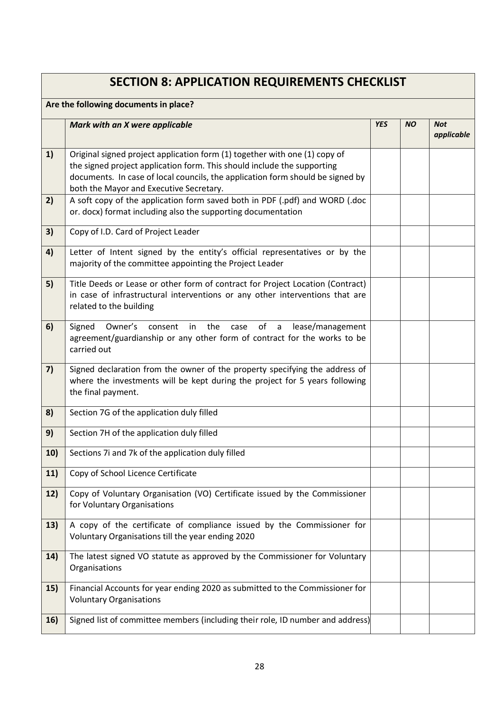|                                       | <b>SECTION 8: APPLICATION REQUIREMENTS CHECKLIST</b>                                                                                                                                                                                                                               |            |           |                          |
|---------------------------------------|------------------------------------------------------------------------------------------------------------------------------------------------------------------------------------------------------------------------------------------------------------------------------------|------------|-----------|--------------------------|
| Are the following documents in place? |                                                                                                                                                                                                                                                                                    |            |           |                          |
|                                       | Mark with an X were applicable                                                                                                                                                                                                                                                     | <b>YES</b> | <b>NO</b> | <b>Not</b><br>applicable |
| 1)                                    | Original signed project application form (1) together with one (1) copy of<br>the signed project application form. This should include the supporting<br>documents. In case of local councils, the application form should be signed by<br>both the Mayor and Executive Secretary. |            |           |                          |
| 2)                                    | A soft copy of the application form saved both in PDF (.pdf) and WORD (.doc<br>or. docx) format including also the supporting documentation                                                                                                                                        |            |           |                          |
| 3)                                    | Copy of I.D. Card of Project Leader                                                                                                                                                                                                                                                |            |           |                          |
| 4)                                    | Letter of Intent signed by the entity's official representatives or by the<br>majority of the committee appointing the Project Leader                                                                                                                                              |            |           |                          |
| 5)                                    | Title Deeds or Lease or other form of contract for Project Location (Contract)<br>in case of infrastructural interventions or any other interventions that are<br>related to the building                                                                                          |            |           |                          |
| 6)                                    | Owner's<br>consent in the<br>of a<br>Signed<br>case<br>lease/management<br>agreement/guardianship or any other form of contract for the works to be<br>carried out                                                                                                                 |            |           |                          |
| 7)                                    | Signed declaration from the owner of the property specifying the address of<br>where the investments will be kept during the project for 5 years following<br>the final payment.                                                                                                   |            |           |                          |
| 8)                                    | Section 7G of the application duly filled                                                                                                                                                                                                                                          |            |           |                          |
| 9)                                    | Section 7H of the application duly filled                                                                                                                                                                                                                                          |            |           |                          |
| 10)                                   | Sections 7i and 7k of the application duly filled                                                                                                                                                                                                                                  |            |           |                          |
| 11)                                   | Copy of School Licence Certificate                                                                                                                                                                                                                                                 |            |           |                          |
| 12)                                   | Copy of Voluntary Organisation (VO) Certificate issued by the Commissioner<br>for Voluntary Organisations                                                                                                                                                                          |            |           |                          |
| 13)                                   | A copy of the certificate of compliance issued by the Commissioner for<br>Voluntary Organisations till the year ending 2020                                                                                                                                                        |            |           |                          |
| 14)                                   | The latest signed VO statute as approved by the Commissioner for Voluntary<br>Organisations                                                                                                                                                                                        |            |           |                          |
| 15)                                   | Financial Accounts for year ending 2020 as submitted to the Commissioner for<br><b>Voluntary Organisations</b>                                                                                                                                                                     |            |           |                          |
| 16)                                   | Signed list of committee members (including their role, ID number and address)                                                                                                                                                                                                     |            |           |                          |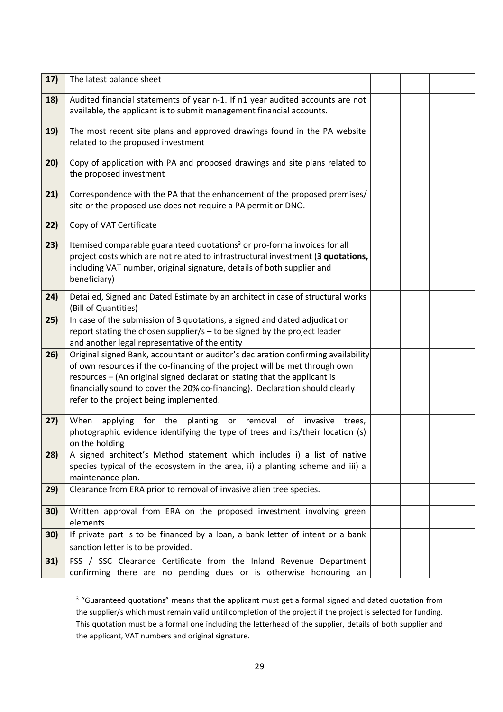| 17) | The latest balance sheet                                                                                                                                                                                                                                                                                                                                                 |  |  |
|-----|--------------------------------------------------------------------------------------------------------------------------------------------------------------------------------------------------------------------------------------------------------------------------------------------------------------------------------------------------------------------------|--|--|
| 18) | Audited financial statements of year n-1. If n1 year audited accounts are not<br>available, the applicant is to submit management financial accounts.                                                                                                                                                                                                                    |  |  |
| 19) | The most recent site plans and approved drawings found in the PA website<br>related to the proposed investment                                                                                                                                                                                                                                                           |  |  |
| 20) | Copy of application with PA and proposed drawings and site plans related to<br>the proposed investment                                                                                                                                                                                                                                                                   |  |  |
| 21) | Correspondence with the PA that the enhancement of the proposed premises/<br>site or the proposed use does not require a PA permit or DNO.                                                                                                                                                                                                                               |  |  |
| 22) | Copy of VAT Certificate                                                                                                                                                                                                                                                                                                                                                  |  |  |
| 23) | Itemised comparable guaranteed quotations <sup>3</sup> or pro-forma invoices for all<br>project costs which are not related to infrastructural investment (3 quotations,<br>including VAT number, original signature, details of both supplier and<br>beneficiary)                                                                                                       |  |  |
| 24) | Detailed, Signed and Dated Estimate by an architect in case of structural works<br>(Bill of Quantities)                                                                                                                                                                                                                                                                  |  |  |
| 25) | In case of the submission of 3 quotations, a signed and dated adjudication<br>report stating the chosen supplier/s - to be signed by the project leader<br>and another legal representative of the entity                                                                                                                                                                |  |  |
| 26) | Original signed Bank, accountant or auditor's declaration confirming availability<br>of own resources if the co-financing of the project will be met through own<br>resources - (An original signed declaration stating that the applicant is<br>financially sound to cover the 20% co-financing). Declaration should clearly<br>refer to the project being implemented. |  |  |
| 27) | applying for the<br>planting<br>When<br>or removal<br>of<br>invasive<br>trees,<br>photographic evidence identifying the type of trees and its/their location (s)<br>on the holding                                                                                                                                                                                       |  |  |
| 28) | A signed architect's Method statement which includes i) a list of native<br>species typical of the ecosystem in the area, ii) a planting scheme and iii) a<br>maintenance plan.                                                                                                                                                                                          |  |  |
| 29) | Clearance from ERA prior to removal of invasive alien tree species.                                                                                                                                                                                                                                                                                                      |  |  |
| 30) | Written approval from ERA on the proposed investment involving green<br>elements                                                                                                                                                                                                                                                                                         |  |  |
| 30) | If private part is to be financed by a loan, a bank letter of intent or a bank<br>sanction letter is to be provided.                                                                                                                                                                                                                                                     |  |  |
| 31) | FSS / SSC Clearance Certificate from the Inland Revenue Department<br>confirming there are no pending dues or is otherwise honouring an                                                                                                                                                                                                                                  |  |  |

<span id="page-28-0"></span><sup>&</sup>lt;sup>3</sup> "Guaranteed quotations" means that the applicant must get a formal signed and dated quotation from the supplier/s which must remain valid until completion of the project if the project is selected for funding. This quotation must be a formal one including the letterhead of the supplier, details of both supplier and the applicant, VAT numbers and original signature.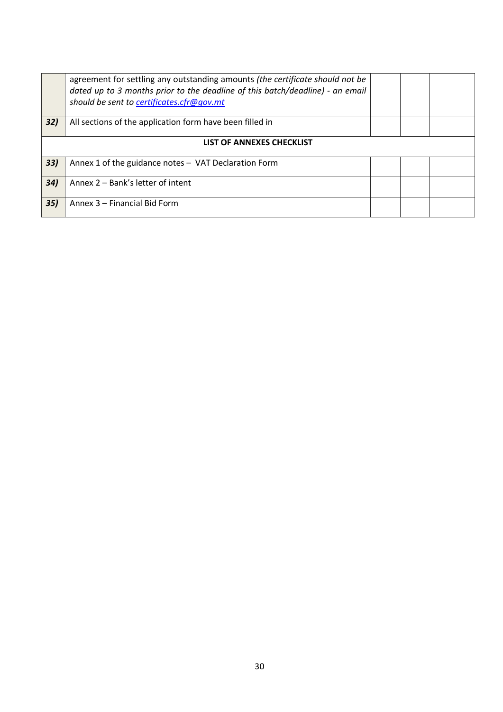|     | agreement for settling any outstanding amounts (the certificate should not be<br>dated up to 3 months prior to the deadline of this batch/deadline) - an email<br>should be sent to certificates.cfr@gov.mt |  |  |  |  |
|-----|-------------------------------------------------------------------------------------------------------------------------------------------------------------------------------------------------------------|--|--|--|--|
| 32) | All sections of the application form have been filled in                                                                                                                                                    |  |  |  |  |
|     | LIST OF ANNEXES CHECKLIST                                                                                                                                                                                   |  |  |  |  |
| 33) | Annex 1 of the guidance notes - VAT Declaration Form                                                                                                                                                        |  |  |  |  |
| 34) | Annex 2 – Bank's letter of intent                                                                                                                                                                           |  |  |  |  |
| 35) | Annex 3 – Financial Bid Form                                                                                                                                                                                |  |  |  |  |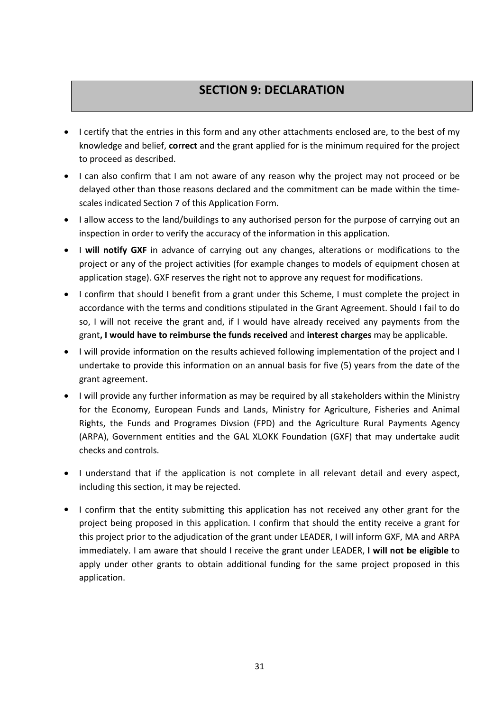# **SECTION 9: DECLARATION**

- I certify that the entries in this form and any other attachments enclosed are, to the best of my knowledge and belief, **correct** and the grant applied for is the minimum required for the project to proceed as described.
- I can also confirm that I am not aware of any reason why the project may not proceed or be delayed other than those reasons declared and the commitment can be made within the time scales indicated Section 7 of this Application Form.
- I allow access to the land/buildings to any authorised person for the purpose of carrying out an inspection in order to verify the accuracy of the information in this application.
- I **will notify GXF** in advance of carrying out any changes, alterations or modifications to the project or any of the project activities (for example changes to models of equipment chosen at application stage). GXF reserves the right not to approve any request for modifications.
- I confirm that should I benefit from a grant under this Scheme, I must complete the project in accordance with the terms and conditions stipulated in the Grant Agreement. Should I fail to do so, I will not receive the grant and, if I would have already received any payments from the grant**, I would have to reimburse the funds received** and **interestcharges** may be applicable.
- I will provide information on the results achieved following implementation of the project and I undertake to provide this information on an annualbasis for five (5) years from the date of the grant agreement.
- I will provide any further information as may be required by all stakeholders within the Ministry for the Economy, European Funds and Lands, Ministry for Agriculture, Fisheries and Animal Rights, the Funds and Programes Divsion (FPD) and the Agriculture Rural Payments Agency (ARPA), Government entities and the GAL XLOKK Foundation (GXF) that may undertake audit checks and controls.
- I understand that if the application is not complete in all relevant detail and every aspect, including this section, it may be rejected.
- I confirm that the entity submitting this application has not received any other grant for the project being proposed in this application. I confirm that should the entity receive a grant for this project prior to the adjudication of the grant under LEADER, I will inform GXF, MA and ARPA immediately. I am aware that should I receive the grant under LEADER, **I will not be eligible** to apply under other grants to obtain additional funding for the same project proposed in this application.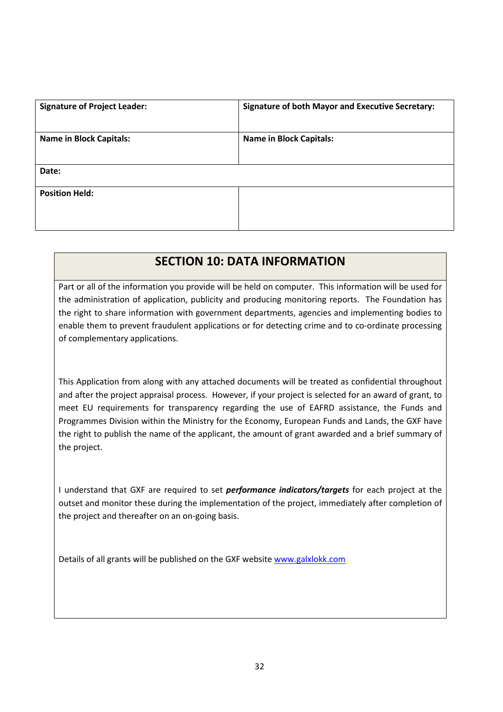| <b>Signature of Project Leader:</b> | <b>Signature of both Mayor and Executive Secretary:</b> |
|-------------------------------------|---------------------------------------------------------|
| <b>Name in Block Capitals:</b>      | <b>Name in Block Capitals:</b>                          |
| Date:                               |                                                         |
| <b>Position Held:</b>               |                                                         |

## **SECTION 10: DATA INFORMATION**

Part or all of the information you provide will be held on computer. This information will be used for the administration of application, publicity and producing monitoring reports. The Foundation has the right to share information with government departments, agencies and implementing bodies to enable them to prevent fraudulent applications or for detecting crime and to co-ordinate processing of complementary applications.

This Application from along with any attached documents will be treated as confidential throughout and after the project appraisal process. However, if your project is selected for an award of grant, to meet EU requirements for transparency regarding the use of EAFRD assistance, the Funds and Programmes Division within the Ministry for the Economy, European Funds and Lands, the GXF have the right to publish the name of the applicant, the amount of grant awarded and a brief summary of the project.

I understand that GXF are required to set *performance indicators/targets* for each project at the outset and monitor these during the implementation of the project, immediately after completion of the project and thereafter on an on-going basis.

Details of all grants will be published on the GXF website [www.galxlokk.com](http://www.galxlokk.com)